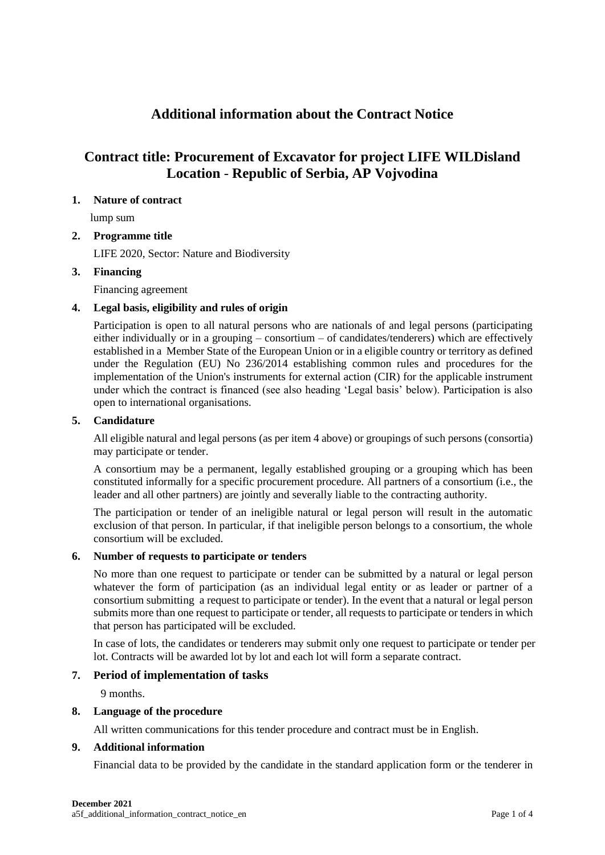# **Additional information about the Contract Notice**

# **Contract title: Procurement of Excavator for project LIFE WILDisland Location** - **Republic of Serbia, AP Vojvodina**

## **1. Nature of contract**

lump sum

## **2. Programme title**

LIFE 2020, Sector: Nature and Biodiversity

## **3. Financing**

Financing agreement

# **4. Legal basis, eligibility and rules of origin**

Participation is open to all natural persons who are nationals of and legal persons (participating either individually or in a grouping – consortium – of candidates/tenderers) which are effectively established in a Member State of the European Union or in a eligible country or territory as defined under the Regulation (EU) No 236/2014 establishing common rules and procedures for the implementation of the Union's instruments for external action (CIR) for the applicable instrument under which the contract is financed (see also heading 'Legal basis' below). Participation is also open to international organisations.

#### **5. Candidature**

All eligible natural and legal persons (as per item 4 above) or groupings of such persons (consortia) may participate or tender.

A consortium may be a permanent, legally established grouping or a grouping which has been constituted informally for a specific procurement procedure. All partners of a consortium (i.e., the leader and all other partners) are jointly and severally liable to the contracting authority.

The participation or tender of an ineligible natural or legal person will result in the automatic exclusion of that person. In particular, if that ineligible person belongs to a consortium, the whole consortium will be excluded.

#### **6. Number of requests to participate or tenders**

No more than one request to participate or tender can be submitted by a natural or legal person whatever the form of participation (as an individual legal entity or as leader or partner of a consortium submitting a request to participate or tender). In the event that a natural or legal person submits more than one request to participate or tender, all requests to participate or tenders in which that person has participated will be excluded.

In case of lots, the candidates or tenderers may submit only one request to participate or tender per lot. Contracts will be awarded lot by lot and each lot will form a separate contract.

# **7. Period of implementation of tasks**

9 months.

#### **8. Language of the procedure**

All written communications for this tender procedure and contract must be in English.

#### **9. Additional information**

Financial data to be provided by the candidate in the standard application form or the tenderer in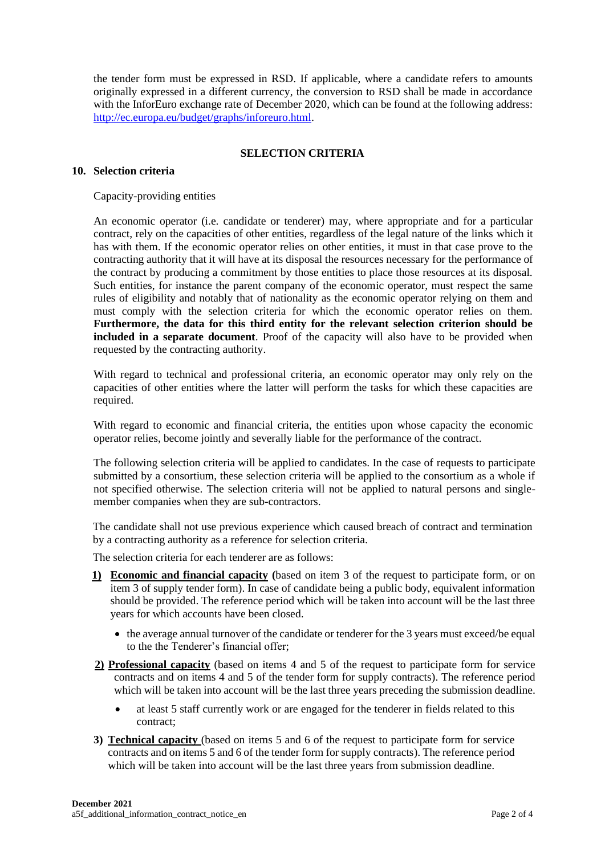the tender form must be expressed in RSD. If applicable, where a candidate refers to amounts originally expressed in a different currency, the conversion to RSD shall be made in accordance with the InforEuro exchange rate of December 2020, which can be found at the following address: [http://ec.europa.eu/budget/graphs/inforeuro.html.](http://ec.europa.eu/budget/graphs/inforeuro.html)

## **SELECTION CRITERIA**

### **10. Selection criteria**

Capacity-providing entities

An economic operator (i.e. candidate or tenderer) may, where appropriate and for a particular contract, rely on the capacities of other entities, regardless of the legal nature of the links which it has with them. If the economic operator relies on other entities, it must in that case prove to the contracting authority that it will have at its disposal the resources necessary for the performance of the contract by producing a commitment by those entities to place those resources at its disposal. Such entities, for instance the parent company of the economic operator, must respect the same rules of eligibility and notably that of nationality as the economic operator relying on them and must comply with the selection criteria for which the economic operator relies on them. **Furthermore, the data for this third entity for the relevant selection criterion should be included in a separate document**. Proof of the capacity will also have to be provided when requested by the contracting authority.

With regard to technical and professional criteria, an economic operator may only rely on the capacities of other entities where the latter will perform the tasks for which these capacities are required.

With regard to economic and financial criteria, the entities upon whose capacity the economic operator relies, become jointly and severally liable for the performance of the contract.

The following selection criteria will be applied to candidates. In the case of requests to participate submitted by a consortium, these selection criteria will be applied to the consortium as a whole if not specified otherwise. The selection criteria will not be applied to natural persons and singlemember companies when they are sub-contractors.

The candidate shall not use previous experience which caused breach of contract and termination by a contracting authority as a reference for selection criteria.

The selection criteria for each tenderer are as follows:

- **1) Economic and financial capacity (**based on item 3 of the request to participate form, or on item 3 of supply tender form). In case of candidate being a public body, equivalent information should be provided. The reference period which will be taken into account will be the last three years for which accounts have been closed.
	- the average annual turnover of the candidate or tenderer for the 3 years must exceed/be equal to the the Tenderer's financial offer;
- **2) Professional capacity** (based on items 4 and 5 of the request to participate form for service contracts and on items 4 and 5 of the tender form for supply contracts). The reference period which will be taken into account will be the last three years preceding the submission deadline.
	- at least 5 staff currently work or are engaged for the tenderer in fields related to this contract;
- **3) Technical capacity** (based on items 5 and 6 of the request to participate form for service contracts and on items 5 and 6 of the tender form for supply contracts). The reference period which will be taken into account will be the last three years from submission deadline.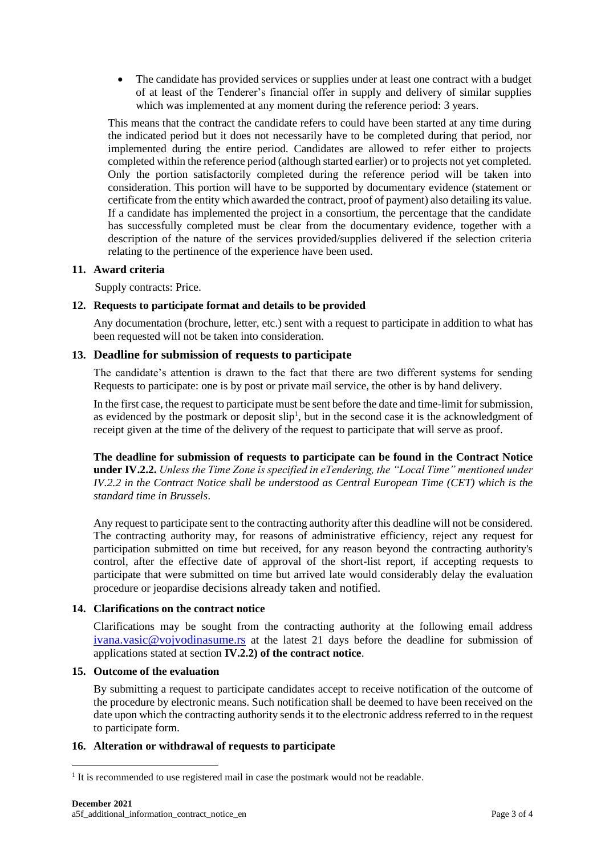• The candidate has provided services or supplies under at least one contract with a budget of at least of the Tenderer's financial offer in supply and delivery of similar supplies which was implemented at any moment during the reference period: 3 years.

This means that the contract the candidate refers to could have been started at any time during the indicated period but it does not necessarily have to be completed during that period, nor implemented during the entire period. Candidates are allowed to refer either to projects completed within the reference period (although started earlier) or to projects not yet completed. Only the portion satisfactorily completed during the reference period will be taken into consideration. This portion will have to be supported by documentary evidence (statement or certificate from the entity which awarded the contract, proof of payment) also detailing its value. If a candidate has implemented the project in a consortium, the percentage that the candidate has successfully completed must be clear from the documentary evidence, together with a description of the nature of the services provided/supplies delivered if the selection criteria relating to the pertinence of the experience have been used.

## **11. Award criteria**

Supply contracts: Price.

## **12. Requests to participate format and details to be provided**

Any documentation (brochure, letter, etc.) sent with a request to participate in addition to what has been requested will not be taken into consideration.

## **13. Deadline for submission of requests to participate**

The candidate's attention is drawn to the fact that there are two different systems for sending Requests to participate: one is by post or private mail service, the other is by hand delivery.

In the first case, the request to participate must be sent before the date and time-limit for submission, as evidenced by the postmark or deposit slip<sup>1</sup>, but in the second case it is the acknowledgment of receipt given at the time of the delivery of the request to participate that will serve as proof.

**The deadline for submission of requests to participate can be found in the Contract Notice under IV.2.2.** *Unless the Time Zone is specified in eTendering, the "Local Time" mentioned under IV.2.2 in the Contract Notice shall be understood as Central European Time (CET) which is the standard time in Brussels*.

Any request to participate sent to the contracting authority after this deadline will not be considered. The contracting authority may, for reasons of administrative efficiency, reject any request for participation submitted on time but received, for any reason beyond the contracting authority's control, after the effective date of approval of the short-list report, if accepting requests to participate that were submitted on time but arrived late would considerably delay the evaluation procedure or jeopardise decisions already taken and notified.

# **14. Clarifications on the contract notice**

Clarifications may be sought from the contracting authority at the following email address [ivana.vasic@vojvodinasume.rs](mailto:ivana.vasic@vojvodinasume.rs) at the latest 21 days before the deadline for submission of applications stated at section **IV.2.2) of the contract notice**.

#### **15. Outcome of the evaluation**

By submitting a request to participate candidates accept to receive notification of the outcome of the procedure by electronic means. Such notification shall be deemed to have been received on the date upon which the contracting authority sends it to the electronic address referred to in the request to participate form.

#### **16. Alteration or withdrawal of requests to participate**

<sup>&</sup>lt;sup>1</sup> It is recommended to use registered mail in case the postmark would not be readable.